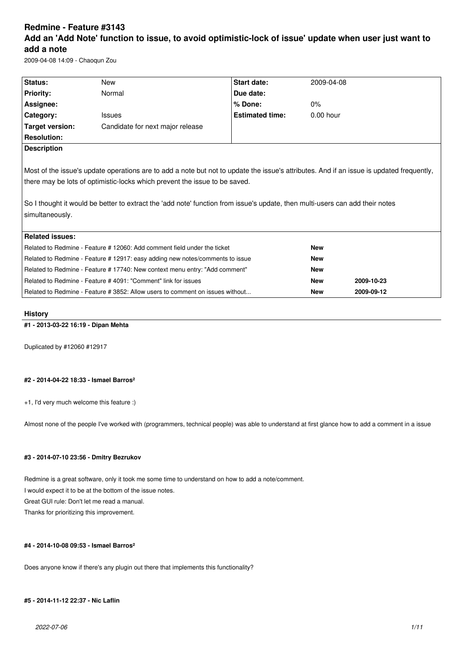# **Redmine - Feature #3143 Add an 'Add Note' function to issue, to avoid optimistic-lock of issue' update when user just want to add a note**

2009-04-08 14:09 - Chaoqun Zou

| New                                                                                                                          | Start date:            | 2009-04-08                                                                                                                                                  |                                                                                                                                          |  |  |
|------------------------------------------------------------------------------------------------------------------------------|------------------------|-------------------------------------------------------------------------------------------------------------------------------------------------------------|------------------------------------------------------------------------------------------------------------------------------------------|--|--|
| Normal                                                                                                                       | Due date:              |                                                                                                                                                             |                                                                                                                                          |  |  |
|                                                                                                                              | % Done:                | 0%                                                                                                                                                          |                                                                                                                                          |  |  |
| <b>Issues</b>                                                                                                                | <b>Estimated time:</b> | $0.00$ hour                                                                                                                                                 |                                                                                                                                          |  |  |
| Candidate for next major release                                                                                             |                        |                                                                                                                                                             |                                                                                                                                          |  |  |
|                                                                                                                              |                        |                                                                                                                                                             |                                                                                                                                          |  |  |
|                                                                                                                              |                        |                                                                                                                                                             |                                                                                                                                          |  |  |
|                                                                                                                              |                        |                                                                                                                                                             |                                                                                                                                          |  |  |
|                                                                                                                              |                        |                                                                                                                                                             |                                                                                                                                          |  |  |
|                                                                                                                              |                        |                                                                                                                                                             |                                                                                                                                          |  |  |
|                                                                                                                              |                        |                                                                                                                                                             |                                                                                                                                          |  |  |
| So I thought it would be better to extract the 'add note' function from issue's update, then multi-users can add their notes |                        |                                                                                                                                                             |                                                                                                                                          |  |  |
| simultaneously.                                                                                                              |                        |                                                                                                                                                             |                                                                                                                                          |  |  |
|                                                                                                                              |                        |                                                                                                                                                             |                                                                                                                                          |  |  |
|                                                                                                                              |                        |                                                                                                                                                             |                                                                                                                                          |  |  |
| Related to Redmine - Feature # 12060: Add comment field under the ticket                                                     |                        | <b>New</b>                                                                                                                                                  |                                                                                                                                          |  |  |
| Related to Redmine - Feature # 12917: easy adding new notes/comments to issue                                                |                        | <b>New</b>                                                                                                                                                  |                                                                                                                                          |  |  |
| Related to Redmine - Feature # 17740: New context menu entry: "Add comment"                                                  |                        | <b>New</b>                                                                                                                                                  |                                                                                                                                          |  |  |
| Related to Redmine - Feature # 4091: "Comment" link for issues                                                               |                        | <b>New</b>                                                                                                                                                  | 2009-10-23                                                                                                                               |  |  |
|                                                                                                                              |                        | <b>New</b>                                                                                                                                                  | 2009-09-12                                                                                                                               |  |  |
|                                                                                                                              |                        | there may be lots of optimistic-locks which prevent the issue to be saved.<br>Related to Redmine - Feature # 3852: Allow users to comment on issues without | Most of the issue's update operations are to add a note but not to update the issue's attributes. And if an issue is updated frequently, |  |  |

# **History**

### **#1 - 2013-03-22 16:19 - Dipan Mehta**

Duplicated by #12060 #12917

# **#2 - 2014-04-22 18:33 - Ismael Barros²**

+1, I'd very much welcome this feature :)

Almost none of the people I've worked with (programmers, technical people) was able to understand at first glance how to add a comment in a issue

# **#3 - 2014-07-10 23:56 - Dmitry Bezrukov**

Redmine is a great software, only it took me some time to understand on how to add a note/comment. I would expect it to be at the bottom of the issue notes. Great GUI rule: Don't let me read a manual. Thanks for prioritizing this improvement.

# **#4 - 2014-10-08 09:53 - Ismael Barros²**

Does anyone know if there's any plugin out there that implements this functionality?

# **#5 - 2014-11-12 22:37 - Nic Laflin**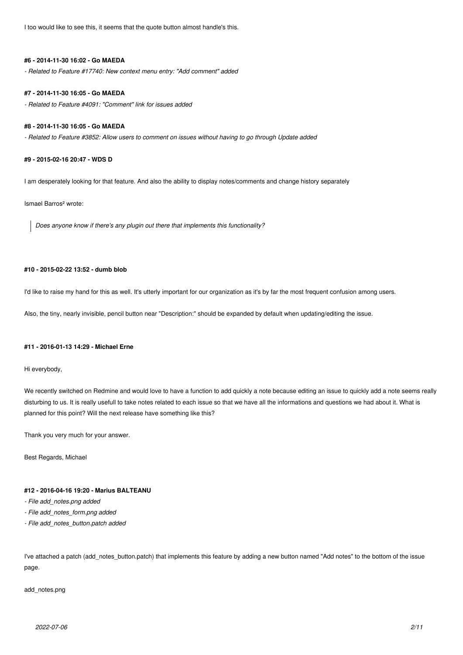I too would like to see this, it seems that the quote button almost handle's this.

#### **#6 - 2014-11-30 16:02 - Go MAEDA**

*- Related to Feature #17740: New context menu entry: "Add comment" added*

#### **#7 - 2014-11-30 16:05 - Go MAEDA**

*- Related to Feature #4091: "Comment" link for issues added*

#### **#8 - 2014-11-30 16:05 - Go MAEDA**

*- Related to Feature #3852: Allow users to comment on issues without having to go through Update added*

### **#9 - 2015-02-16 20:47 - WDS D**

I am desperately looking for that feature. And also the ability to display notes/comments and change history separately

#### Ismael Barros² wrote:

*Does anyone know if there's any plugin out there that implements this functionality?*

# **#10 - 2015-02-22 13:52 - dumb blob**

I'd like to raise my hand for this as well. It's utterly important for our organization as it's by far the most frequent confusion among users.

Also, the tiny, nearly invisible, pencil button near "Description:" should be expanded by default when updating/editing the issue.

#### **#11 - 2016-01-13 14:29 - Michael Erne**

Hi everybody,

We recently switched on Redmine and would love to have a function to add quickly a note because editing an issue to quickly add a note seems really disturbing to us. It is really usefull to take notes related to each issue so that we have all the informations and questions we had about it. What is planned for this point? Will the next release have something like this?

Thank you very much for your answer.

Best Regards, Michael

# **#12 - 2016-04-16 19:20 - Marius BALTEANU**

- *File add\_notes.png added*
- *File add\_notes\_form.png added*
- *File add\_notes\_button.patch added*

I've attached a patch (add\_notes\_button.patch) that implements this feature by adding a new button named "Add notes" to the bottom of the issue page.

add\_notes.png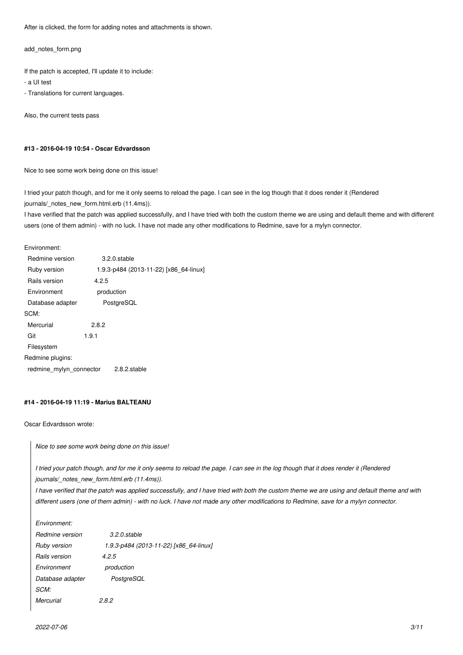After is clicked, the form for adding notes and attachments is shown.

add\_notes\_form.png

If the patch is accepted, I'll update it to include:

- a UI test

- Translations for current languages.

Also, the current tests pass

#### **#13 - 2016-04-19 10:54 - Oscar Edvardsson**

Nice to see some work being done on this issue!

I tried your patch though, and for me it only seems to reload the page. I can see in the log though that it does render it (Rendered journals/\_notes\_new\_form.html.erb (11.4ms)).

I have verified that the patch was applied successfully, and I have tried with both the custom theme we are using and default theme and with different users (one of them admin) - with no luck. I have not made any other modifications to Redmine, save for a mylyn connector.

Environment:

| Redmine version         |            | $3.2.0$ .stable                        |  |
|-------------------------|------------|----------------------------------------|--|
| Ruby version            |            | 1.9.3-p484 (2013-11-22) [x86 64-linux] |  |
| Rails version           | 4.2.5      |                                        |  |
| Environment             | production |                                        |  |
| Database adapter        | PostgreSQL |                                        |  |
| SCM:                    |            |                                        |  |
| Mercurial               | 2.8.2      |                                        |  |
| Git                     | 1.9.1      |                                        |  |
| Filesystem              |            |                                        |  |
| Redmine plugins:        |            |                                        |  |
| redmine mylyn connector |            | 2.8.2.stable                           |  |
|                         |            |                                        |  |

#### **#14 - 2016-04-19 11:19 - Marius BALTEANU**

Oscar Edvardsson wrote:

*Nice to see some work being done on this issue!*

*I tried your patch though, and for me it only seems to reload the page. I can see in the log though that it does render it (Rendered journals/\_notes\_new\_form.html.erb (11.4ms)).*

*I have verified that the patch was applied successfully, and I have tried with both the custom theme we are using and default theme and with different users (one of them admin) - with no luck. I have not made any other modifications to Redmine, save for a mylyn connector.*

*Environment: Redmine version 3.2.0.stable Ruby version 1.9.3-p484 (2013-11-22) [x86\_64-linux] Rails version 4.2.5 Environment production Database adapter PostgreSQL SCM: Mercurial 2.8.2*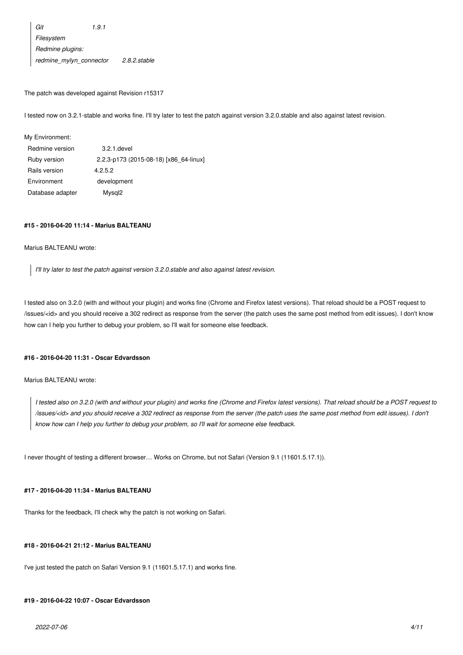*Git 1.9.1 Filesystem Redmine plugins: redmine\_mylyn\_connector 2.8.2.stable*

The patch was developed against Revision r15317

I tested now on 3.2.1-stable and works fine. I'll try later to test the patch against version 3.2.0.stable and also against latest revision.

My Environment:

| Redmine version  | 3.2.1. devel                           |
|------------------|----------------------------------------|
| Ruby version     | 2.2.3-p173 (2015-08-18) [x86 64-linux] |
| Rails version    | 4.2.5.2                                |
| Environment      | development                            |
| Database adapter | Mysgl <sub>2</sub>                     |

#### **#15 - 2016-04-20 11:14 - Marius BALTEANU**

#### Marius BALTEANU wrote:

*I'll try later to test the patch against version 3.2.0.stable and also against latest revision.*

I tested also on 3.2.0 (with and without your plugin) and works fine (Chrome and Firefox latest versions). That reload should be a POST request to /issues/<id> and you should receive a 302 redirect as response from the server (the patch uses the same post method from edit issues). I don't know how can I help you further to debug your problem, so I'll wait for someone else feedback.

#### **#16 - 2016-04-20 11:31 - Oscar Edvardsson**

#### Marius BALTEANU wrote:

*I tested also on 3.2.0 (with and without your plugin) and works fine (Chrome and Firefox latest versions). That reload should be a POST request to /issues/<id> and you should receive a 302 redirect as response from the server (the patch uses the same post method from edit issues). I don't know how can I help you further to debug your problem, so I'll wait for someone else feedback.*

I never thought of testing a different browser… Works on Chrome, but not Safari (Version 9.1 (11601.5.17.1)).

# **#17 - 2016-04-20 11:34 - Marius BALTEANU**

Thanks for the feedback, I'll check why the patch is not working on Safari.

### **#18 - 2016-04-21 21:12 - Marius BALTEANU**

I've just tested the patch on Safari Version 9.1 (11601.5.17.1) and works fine.

# **#19 - 2016-04-22 10:07 - Oscar Edvardsson**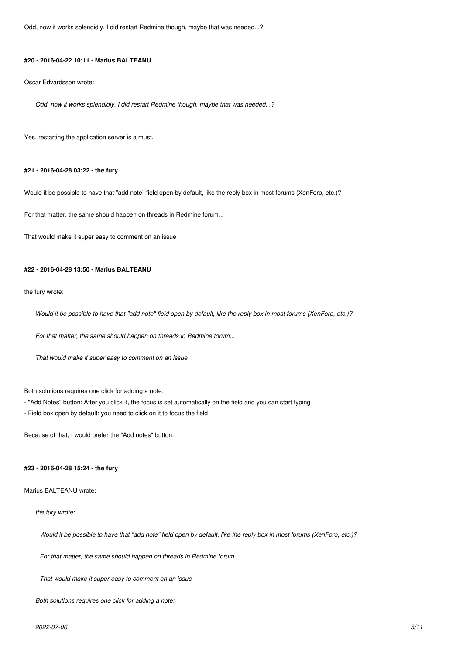Odd, now it works splendidly. I did restart Redmine though, maybe that was needed...?

#### **#20 - 2016-04-22 10:11 - Marius BALTEANU**

Oscar Edvardsson wrote:

*Odd, now it works splendidly. I did restart Redmine though, maybe that was needed...?*

Yes, restarting the application server is a must.

#### **#21 - 2016-04-28 03:22 - the fury**

Would it be possible to have that "add note" field open by default, like the reply box in most forums (XenForo, etc.)?

For that matter, the same should happen on threads in Redmine forum...

That would make it super easy to comment on an issue

# **#22 - 2016-04-28 13:50 - Marius BALTEANU**

the fury wrote:

*Would it be possible to have that "add note" field open by default, like the reply box in most forums (XenForo, etc.)?*

*For that matter, the same should happen on threads in Redmine forum...*

*That would make it super easy to comment on an issue*

Both solutions requires one click for adding a note:

- "Add Notes" button: After you click it, the focus is set automatically on the field and you can start typing
- Field box open by default: you need to click on it to focus the field

Because of that, I would prefer the "Add notes" button.

#### **#23 - 2016-04-28 15:24 - the fury**

Marius BALTEANU wrote:

#### *the fury wrote:*

*Would it be possible to have that "add note" field open by default, like the reply box in most forums (XenForo, etc.)?*

*For that matter, the same should happen on threads in Redmine forum...*

*That would make it super easy to comment on an issue*

*Both solutions requires one click for adding a note:*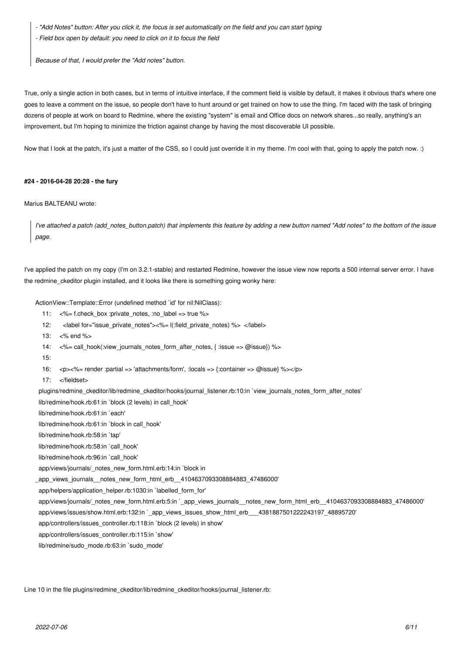*- "Add Notes" button: After you click it, the focus is set automatically on the field and you can start typing*

*- Field box open by default: you need to click on it to focus the field*

*Because of that, I would prefer the "Add notes" button.*

True, only a single action in both cases, but in terms of intuitive interface, if the comment field is visible by default, it makes it obvious that's where one goes to leave a comment on the issue, so people don't have to hunt around or get trained on how to use the thing. I'm faced with the task of bringing dozens of people at work on board to Redmine, where the existing "system" is email and Office docs on network shares...so really, anything's an improvement, but I'm hoping to minimize the friction against change by having the most discoverable UI possible.

Now that I look at the patch, it's just a matter of the CSS, so I could just override it in my theme. I'm cool with that, going to apply the patch now. :)

#### **#24 - 2016-04-28 20:28 - the fury**

#### Marius BALTEANU wrote:

*I've attached a patch (add\_notes\_button.patch) that implements this feature by adding a new button named "Add notes" to the bottom of the issue page.*

I've applied the patch on my copy (I'm on 3.2.1-stable) and restarted Redmine, however the issue view now reports a 500 internal server error. I have the redmine ckeditor plugin installed, and it looks like there is something going wonky here:

ActionView::Template::Error (undefined method `id' for nil:NilClass):

- 11: <%= f.check\_box :private\_notes, :no\_label => true %>
- 12: <label for="issue\_private\_notes"><%= l(:field\_private\_notes) %> </label>
- 13: <% end %>
- 14:  $\langle\%$  call hook(:view journals notes form after notes, { :issue => @issue}) %>
- 15:
- 16: <p><%= render :partial => 'attachments/form', :locals => {:container => @issue} %></p>
- 17: </fieldset>

plugins/redmine\_ckeditor/lib/redmine\_ckeditor/hooks/journal\_listener.rb:10:in `view\_journals\_notes\_form\_after\_notes'

lib/redmine/hook.rb:61:in `block (2 levels) in call\_hook'

lib/redmine/hook.rb:61:in `each'

lib/redmine/hook.rb:61:in `block in call\_hook'

lib/redmine/hook.rb:58:in `tap'

lib/redmine/hook.rb:58:in `call\_hook'

lib/redmine/hook.rb:96:in `call\_hook'

app/views/journals/\_notes\_new\_form.html.erb:14:in `block in

\_app\_views\_journals\_\_notes\_new\_form\_html\_erb\_\_4104637093308884883\_47486000'

app/helpers/application\_helper.rb:1030:in `labelled\_form\_for'

app/views/journals/\_notes\_new\_form.html.erb:5:in `\_app\_views\_journals\_\_notes\_new\_form\_html\_erb\_\_4104637093308884883\_47486000'

app/views/issues/show.html.erb:132:in `\_app\_views\_issues\_show\_html\_erb\_\_\_4381887501222243197\_48895720'

app/controllers/issues\_controller.rb:118:in `block (2 levels) in show'

app/controllers/issues\_controller.rb:115:in `show'

lib/redmine/sudo\_mode.rb:63:in `sudo\_mode'

Line 10 in the file plugins/redmine\_ckeditor/lib/redmine\_ckeditor/hooks/journal\_listener.rb: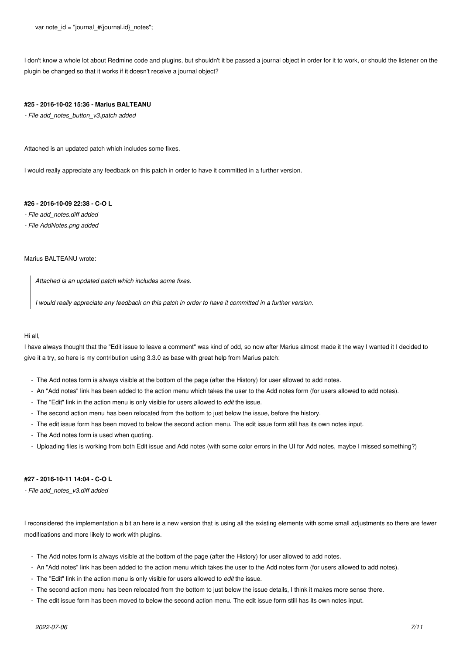I don't know a whole lot about Redmine code and plugins, but shouldn't it be passed a journal object in order for it to work, or should the listener on the plugin be changed so that it works if it doesn't receive a journal object?

#### **#25 - 2016-10-02 15:36 - Marius BALTEANU**

*- File add\_notes\_button\_v3.patch added*

Attached is an updated patch which includes some fixes.

I would really appreciate any feedback on this patch in order to have it committed in a further version.

# **#26 - 2016-10-09 22:38 - C-O L**

*- File add\_notes.diff added*

*- File AddNotes.png added*

# Marius BALTEANU wrote:

*Attached is an updated patch which includes some fixes.*

*I would really appreciate any feedback on this patch in order to have it committed in a further version.*

# Hi all,

I have always thought that the "Edit issue to leave a comment" was kind of odd, so now after Marius almost made it the way I wanted it I decided to give it a try, so here is my contribution using 3.3.0 as base with great help from Marius patch:

- The Add notes form is always visible at the bottom of the page (after the History) for user allowed to add notes.
- An "Add notes" link has been added to the action menu which takes the user to the Add notes form (for users allowed to add notes).
- The "Edit" link in the action menu is only visible for users allowed to *edit* the issue.
- The second action menu has been relocated from the bottom to just below the issue, before the history.
- The edit issue form has been moved to below the second action menu. The edit issue form still has its own notes input.
- The Add notes form is used when quoting.
- Uploading files is working from both Edit issue and Add notes (with some color errors in the UI for Add notes, maybe I missed something?)

### **#27 - 2016-10-11 14:04 - C-O L**

*- File add\_notes\_v3.diff added*

I reconsidered the implementation a bit an here is a new version that is using all the existing elements with some small adjustments so there are fewer modifications and more likely to work with plugins.

- The Add notes form is always visible at the bottom of the page (after the History) for user allowed to add notes.
- An "Add notes" link has been added to the action menu which takes the user to the Add notes form (for users allowed to add notes).
- The "Edit" link in the action menu is only visible for users allowed to *edit* the issue.
- The second action menu has been relocated from the bottom to just below the issue details, I think it makes more sense there.
- The edit issue form has been moved to below the second action menu. The edit issue form still has its own notes input.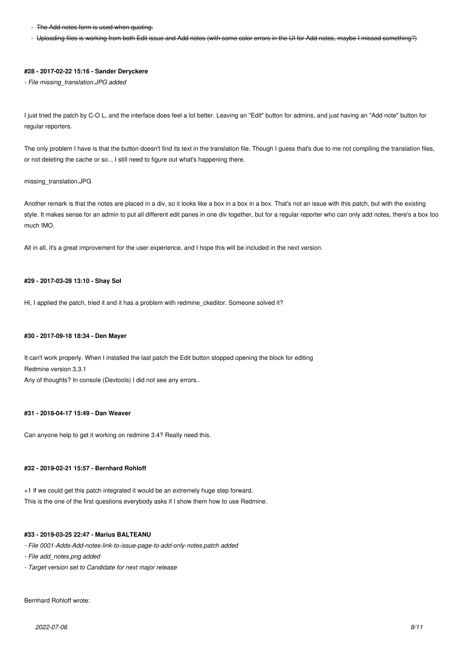- The Add notes form is used when quoting.
- Uploading files is working from both Edit issue and Add notes (with some color errors in the UI for Add notes, maybe I missed something?)

#### **#28 - 2017-02-22 15:16 - Sander Deryckere**

*- File missing\_translation.JPG added*

I just tried the patch by C-O L, and the interface does feel a lot better. Leaving an "Edit" button for admins, and just having an "Add note" button for regular reporters.

The only problem I have is that the button doesn't find its text in the translation file. Though I guess that's due to me not compiling the translation files, or not deleting the cache or so... I still need to figure out what's happening there.

#### missing\_translation.JPG

Another remark is that the notes are placed in a div, so it looks like a box in a box in a box. That's not an issue with this patch, but with the existing style. It makes sense for an admin to put all different edit panes in one div together, but for a regular reporter who can only add notes, there's a box too much IMO.

All in all, it's a great improvement for the user experience, and I hope this will be included in the next version.

#### **#29 - 2017-03-28 13:10 - Shay Sol**

Hi, I applied the patch, tried it and it has a problem with redmine\_ckeditor. Someone solved it?

#### **#30 - 2017-09-18 18:34 - Den Mayer**

It can't work properly. When I installed the last patch the Edit button stopped opening the block for editing Redmine version 3.3.1 Any of thoughts? In console (Devtools) I did not see any errors..

# **#31 - 2018-04-17 15:49 - Dan Weaver**

Can anyone help to get it working on redmine 3.4? Really need this.

# **#32 - 2019-02-21 15:57 - Bernhard Rohloff**

+1 If we could get this patch integrated it would be an extremely huge step forward. This is the one of the first questions everybody asks if I show them how to use Redmine.

#### **#33 - 2019-03-25 22:47 - Marius BALTEANU**

*- File 0001-Adds-Add-notes-link-to-issue-page-to-add-only-notes.patch added*

*- File add\_notes.png added*

*- Target version set to Candidate for next major release*

Bernhard Rohloff wrote: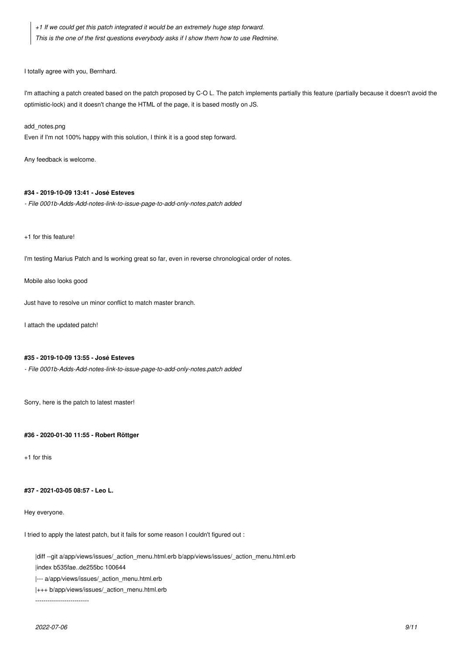*+1 If we could get this patch integrated it would be an extremely huge step forward. This is the one of the first questions everybody asks if I show them how to use Redmine.*

I totally agree with you, Bernhard.

I'm attaching a patch created based on the patch proposed by C-O L. The patch implements partially this feature (partially because it doesn't avoid the optimistic-lock) and it doesn't change the HTML of the page, it is based mostly on JS.

#### add\_notes.png

Even if I'm not 100% happy with this solution, I think it is a good step forward.

Any feedback is welcome.

# **#34 - 2019-10-09 13:41 - José Esteves**

*- File 0001b-Adds-Add-notes-link-to-issue-page-to-add-only-notes.patch added*

+1 for this feature!

I'm testing Marius Patch and Is working great so far, even in reverse chronological order of notes.

Mobile also looks good

Just have to resolve un minor conflict to match master branch.

I attach the updated patch!

# **#35 - 2019-10-09 13:55 - José Esteves**

*- File 0001b-Adds-Add-notes-link-to-issue-page-to-add-only-notes.patch added*

Sorry, here is the patch to latest master!

**#36 - 2020-01-30 11:55 - Robert Röttger**

+1 for this

# **#37 - 2021-03-05 08:57 - Leo L.**

Hey everyone.

I tried to apply the latest patch, but it fails for some reason I couldn't figured out :

|diff --git a/app/views/issues/\_action\_menu.html.erb b/app/views/issues/\_action\_menu.html.erb

|index b535fae..de255bc 100644

|--- a/app/views/issues/\_action\_menu.html.erb

|+++ b/app/views/issues/\_action\_menu.html.erb

--------------------------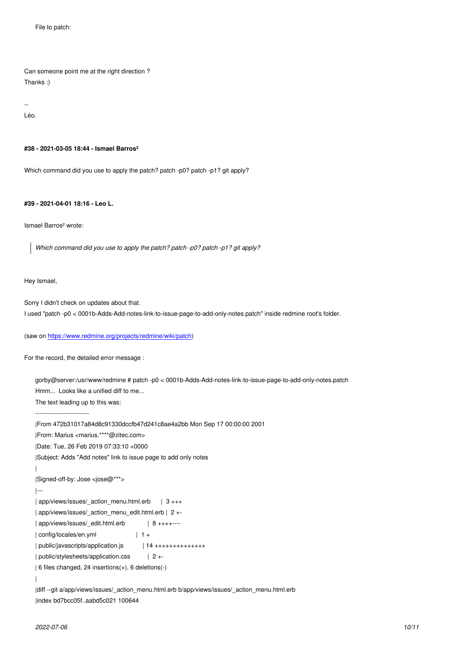Can someone point me at the right direction ? Thanks :)

-- Léo.

**#38 - 2021-03-05 18:44 - Ismael Barros²**

Which command did you use to apply the patch? patch -p0? patch -p1? git apply?

**#39 - 2021-04-01 18:16 - Leo L.**

Ismael Barros² wrote:

*Which command did you use to apply the patch? patch -p0? patch -p1? git apply?*

Hey Ismael,

Sorry I didn't check on updates about that.

I used "patch -p0 < 0001b-Adds-Add-notes-link-to-issue-page-to-add-only-notes.patch" inside redmine root's folder.

```
(saw on https://www.redmine.org/projects/redmine/wiki/patch)
```
For the record, the detailed error message :

```
gorby@server:/usr/www/redmine # patch -p0 < 0001b-Adds-Add-notes-link-to-issue-page-to-add-only-notes.patch
Hmm... Looks like a unified diff to me...
The text leading up to this was:
--------------------------
|From 472b31017a84d8c91330dccfb47d241c8ae4a2bb Mon Sep 17 00:00:00 2001
|From: Marius <marius.****@zitec.com>
|Date: Tue, 26 Feb 2019 07:33:10 +0000
|Subject: Adds "Add notes" link to issue page to add only notes
|
|Signed-off-by: Jose <jose@***>
|---
| app/views/issues/_action_menu.html.erb | 3 +++
| app/views/issues/_action_menu_edit.html.erb | 2 +-
| app/views/issues/_edit.html.erb | 8 ++++----
| config/locales/en.yml | 1 +
| public/javascripts/application.js | 14 +++++++++++++++
| public/stylesheets/application.css | 2 +-
| 6 files changed, 24 insertions(+), 6 deletions(-)
|
|diff --git a/app/views/issues/_action_menu.html.erb b/app/views/issues/_action_menu.html.erb
```
|index bd7bcc05f..aabd5c021 100644